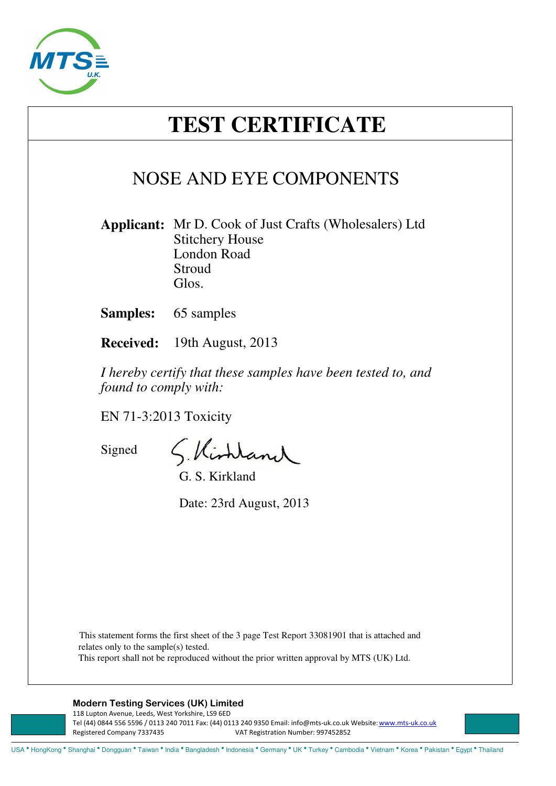

# **TEST CERTIFICATE**

## NOSE AND EYE COMPONENTS

**Applicant:** Mr D. Cook of Just Crafts (Wholesalers) Ltd Stitchery House London Road Stroud Glos.

**Samples:** 65 samples

**Received:** 19th August, 2013

*I hereby certify that these samples have been tested to, and found to comply with:*

EN 71-3:2013 Toxicity

Signed

S. Kirhland

G. S. Kirkland

Date: 23rd August, 2013

This statement forms the first sheet of the 3 page Test Report 33081901 that is attached and relates only to the sample(s) tested. This report shall not be reproduced without the prior written approval by MTS (UK) Ltd.

#### **Modern Testing Services (UK) Limited**

118 Lupton Avenue, Leeds, West Yorkshire, LS9 6ED Tel (44) 0844 556 5596 / 0113 240 7011 Fax: (44) 0113 240 9350 Email: info@mts-uk.co.uk Website: www.mts-uk.co.uk Registered Company 7337435 VAT Registration Number: 997452852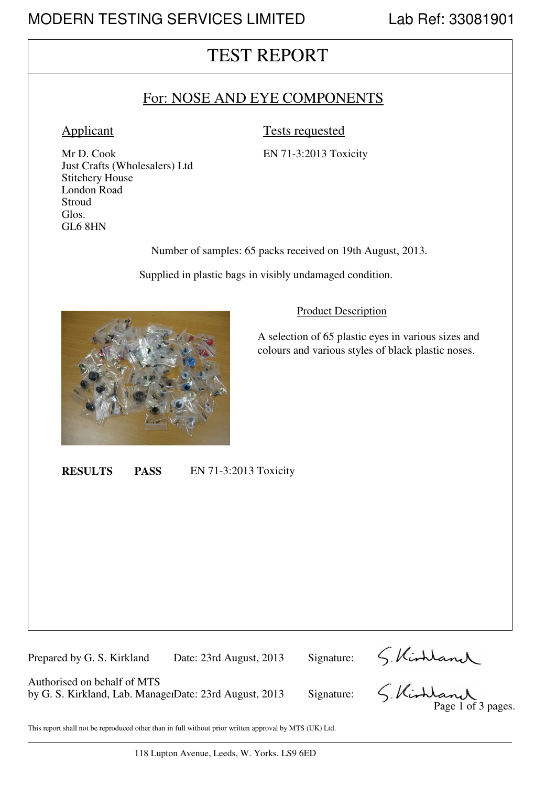### TEST REPORT

### For: NOSE AND EYE COMPONENTS

#### Applicant Tests requested

Mr D. Cook EN 71-3:2013 Toxicity Just Crafts (Wholesalers) Ltd Stitchery House London Road **Stroud** Glos. GL6 8HN

Number of samples: 65 packs received on 19th August, 2013.

Supplied in plastic bags in visibly undamaged condition.



#### Product Description

A selection of 65 plastic eyes in various sizes and colours and various styles of black plastic noses.

**RESULTS PASS** EN 71-3:2013 Toxicity

Prepared by G. S. Kirkland Date: 23rd August, 2013 Signature:

Authorised on behalf of MTS by G. S. Kirkland, Lab. ManagerDate: 23rd August, 2013 Signature:

S. Kirhland<br>S. Kirhland

This report shall not be reproduced other than in full without prior written approval by MTS (UK) Ltd.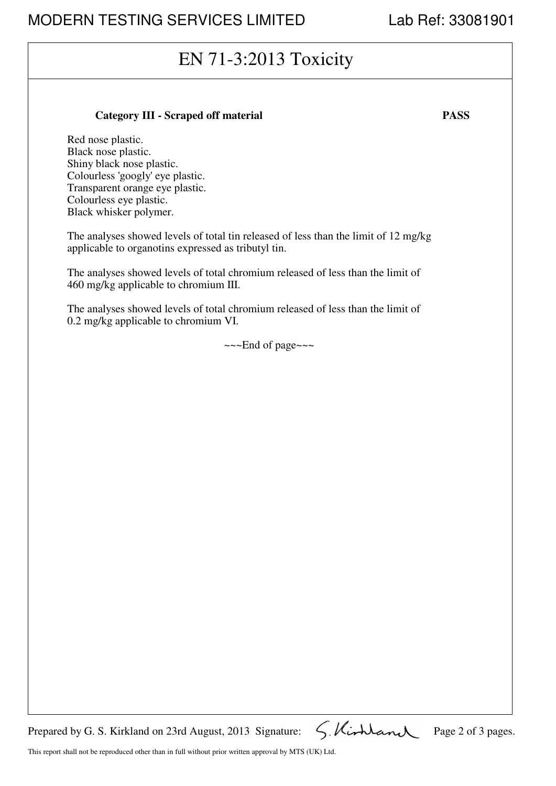## EN 71-3:2013 Toxicity

#### **Category III - Scraped off material PASS**

Red nose plastic. Black nose plastic. Shiny black nose plastic. Colourless 'googly' eye plastic. Transparent orange eye plastic. Colourless eye plastic. Black whisker polymer.

The analyses showed levels of total tin released of less than the limit of 12 mg/kg applicable to organotins expressed as tributyl tin.

The analyses showed levels of total chromium released of less than the limit of 460 mg/kg applicable to chromium III.

The analyses showed levels of total chromium released of less than the limit of 0.2 mg/kg applicable to chromium VI.

~~~End of page~~~

Prepared by G. S. Kirkland on 23rd August, 2013 Signature:  $\zeta$ . Kirkland Page 2 of 3 pages.

This report shall not be reproduced other than in full without prior written approval by MTS (UK) Ltd.